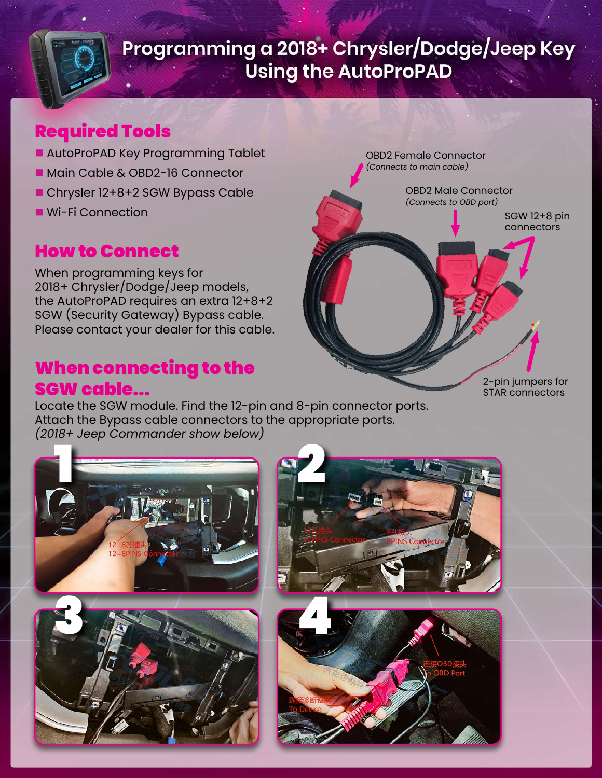### Required Tools

- **n** AutoProPAD Key Programming Tablet
- Main Cable & OBD2-16 Connector
- Chrysler 12+8+2 SGW Bypass Cable
- Wi-Fi Connection

## How to Connect

When programming keys for 2018+ Chrysler/Dodge/Jeep models, the AutoProPAD requires an extra 12+8+2 SGW (Security Gateway) Bypass cable. Please contact your dealer for this cable.

#### When connecting to the SGW cable...

Locate the SGW module. Find the 12-pin and 8-pin connector ports. Attach the Bypass cable connectors to the appropriate ports. *(2018+ Jeep Commander show below)*



2-pin jumpers for STAR connectors

OBD2 Male Connector *(Connects to OBD port)*

OBD2 Female Connector *(Connects to main cable)*

> SGW 12+8 pin connectors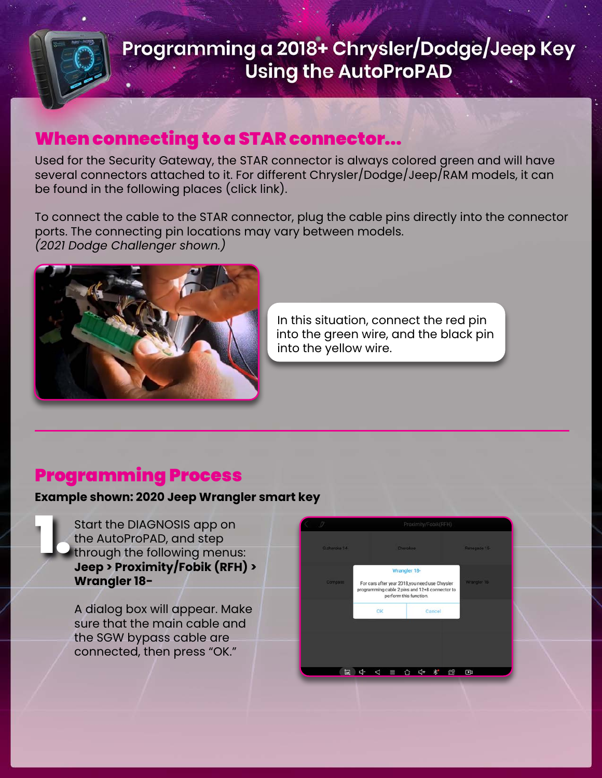### When connecting to a STAR connector...

Used for the Security Gateway, the STAR connector is always colored green and will have several connectors attached to it. For different Chrysler/Dodge/Jeep/RAM models, it can be found in the following places (click link).

To connect the cable to the STAR connector, plug the cable pins directly into the connector ports. The connecting pin locations may vary between models. *(2021 Dodge Challenger shown.)*



In this situation, connect the red pin into the green wire, and the black pin into the yellow wire.

#### Programming Process

#### **Example shown: 2020 Jeep Wrangler smart key**

Start the DIAGNOSIS app on<br>the AutoProPAD, and step<br>through the following menu:<br>**Jeep > Proximity/Fobik (RFF** the AutoProPAD, and step through the following menus: **Jeep > Proximity/Fobik (RFH) > Wrangler 18-**

> A dialog box will appear. Make sure that the main cable and the SGW bypass cable are connected, then press "OK."

| $\theta$        | Proximity/Fobik(RFH)                                                                                                                       |              |             |  |  |  |
|-----------------|--------------------------------------------------------------------------------------------------------------------------------------------|--------------|-------------|--|--|--|
| G cheroke 14-   | Cherokee:                                                                                                                                  | Renegade 15- |             |  |  |  |
| <b>Compass:</b> | Wrangler 18-<br>For cars after year 2018,you need use Chrysler<br>programming cable 2 pins and 12+8 connector to<br>perform this function. | Wrangler 18  |             |  |  |  |
|                 | OK                                                                                                                                         | Cancel       |             |  |  |  |
|                 |                                                                                                                                            |              |             |  |  |  |
| 囲               | d-<br>⊲<br>≡                                                                                                                               |              | 虚<br>$\Box$ |  |  |  |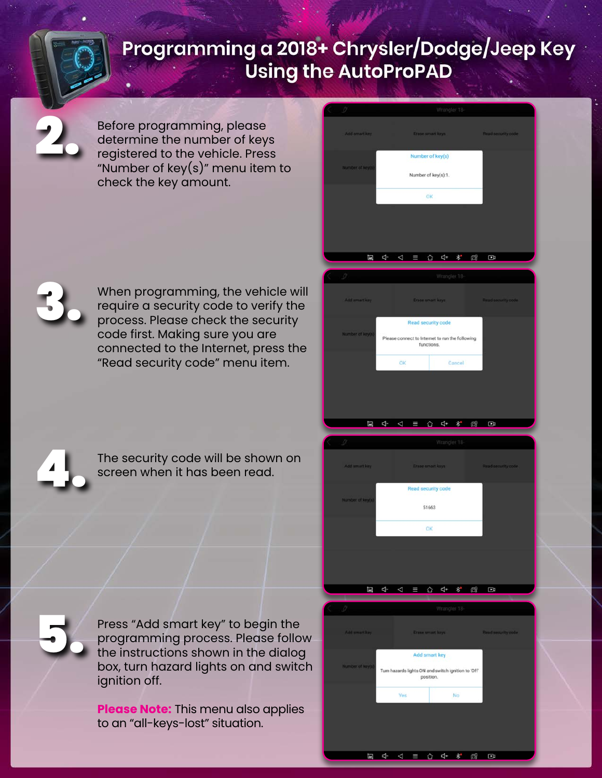Before programming, please determine the number of keys registered to the vehicle. Press "Number of key $(s)$ " menu item to check the key amount.

When programming, the vehicle will require a security code to verify the process. Please check the security code first. Making sure you are connected to the Internet, press the "Read security code" menu item.



5.

3.

2.

The security code will be shown on screen when it has been read.

Press "Add smart key" to begin the programming process. Please follow the instructions shown in the dialog box, turn hazard lights on and switch ignition off.

**Please Note:** This menu also applies to an "all-keys-lost" situation.